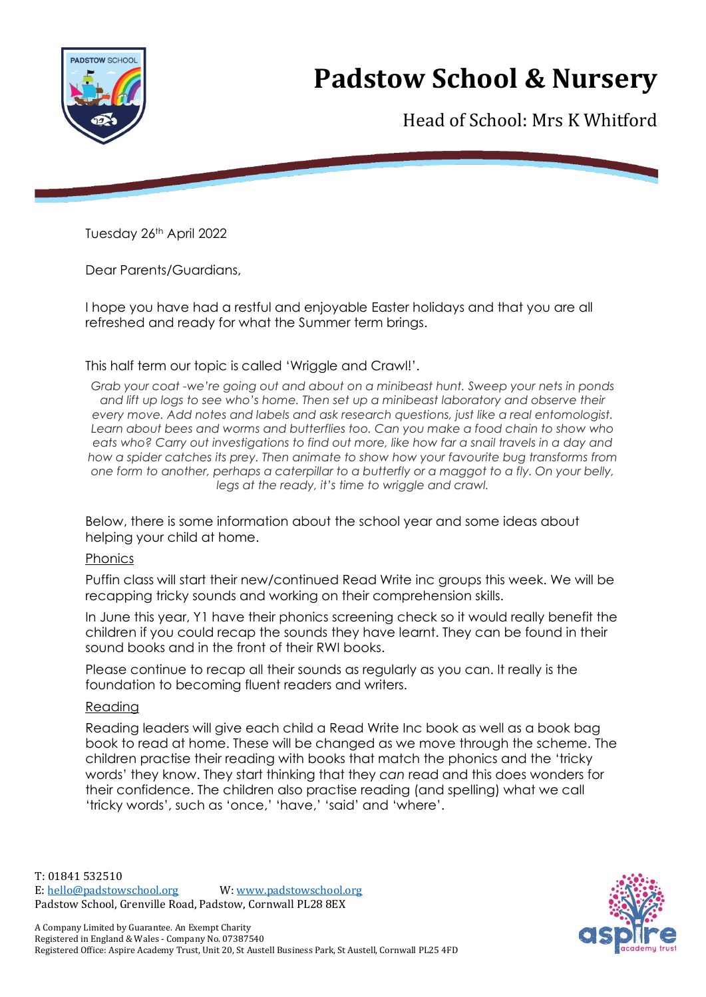

## **Padstow School & Nursery**

Head of School: Mrs K Whitford

Tuesday 26th April 2022

Dear Parents/Guardians,

I hope you have had a restful and enjoyable Easter holidays and that you are all refreshed and ready for what the Summer term brings.

This half term our topic is called 'Wriggle and Crawl!'.

*Grab your coat -we're going out and about on a minibeast hunt. Sweep your nets in ponds and lift up logs to see who's home. Then set up a minibeast laboratory and observe their every move. Add notes and labels and ask research questions, just like a real entomologist. Learn about bees and worms and butterflies too. Can you make a food chain to show who eats who? Carry out investigations to find out more, like how far a snail travels in a day and how a spider catches its prey. Then animate to show how your favourite bug transforms from one form to another, perhaps a caterpillar to a butterfly or a maggot to a fly. On your belly, legs at the ready, it's time to wriggle and crawl.*

Below, there is some information about the school year and some ideas about helping your child at home.

#### Phonics

Puffin class will start their new/continued Read Write inc groups this week. We will be recapping tricky sounds and working on their comprehension skills.

In June this year, Y1 have their phonics screening check so it would really benefit the children if you could recap the sounds they have learnt. They can be found in their sound books and in the front of their RWI books.

Please continue to recap all their sounds as regularly as you can. It really is the foundation to becoming fluent readers and writers.

#### Reading

Reading leaders will give each child a Read Write Inc book as well as a book bag book to read at home. These will be changed as we move through the scheme. The children practise their reading with books that match the phonics and the 'tricky words' they know. They start thinking that they *can* read and this does wonders for their confidence. The children also practise reading (and spelling) what we call 'tricky words', such as 'once,' 'have,' 'said' and 'where'.

T: 01841 532510 E: [hello@padstowschool.org](mailto:hello@padstowschool.org) W[: www.padstowschool.org](http://www.padstowschool.org/) Padstow School, Grenville Road, Padstow, Cornwall PL28 8EX

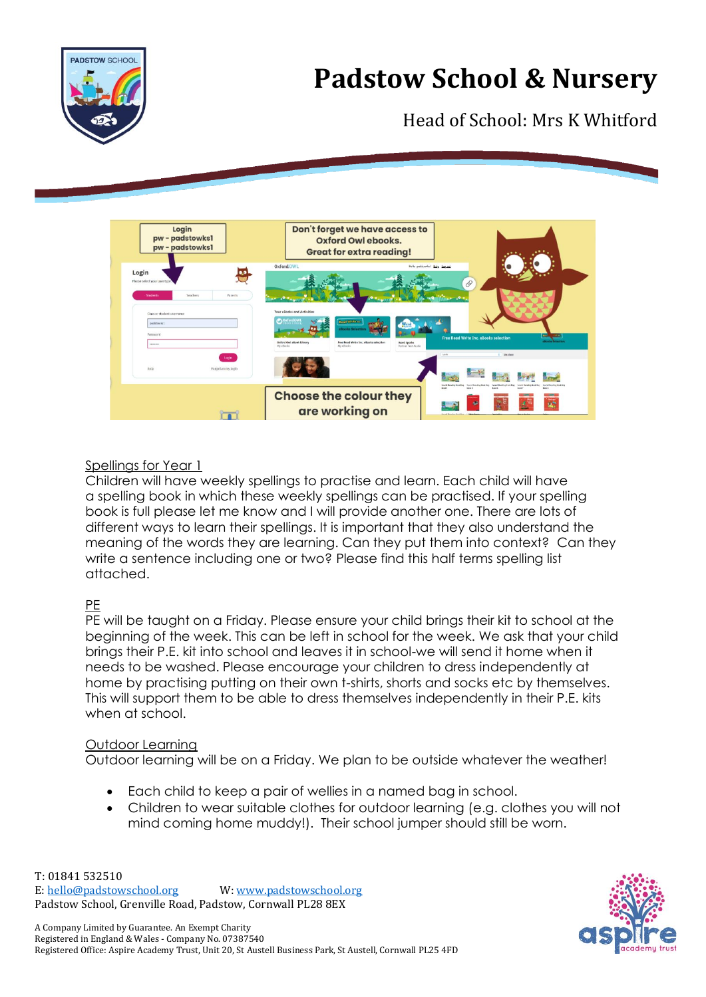



### Head of School: Mrs K Whitford



#### Spellings for Year 1

Children will have weekly spellings to practise and learn. Each child will have a spelling book in which these weekly spellings can be practised. If your spelling book is full please let me know and I will provide another one. There are lots of different ways to learn their spellings. It is important that they also understand the meaning of the words they are learning. Can they put them into context? Can they write a sentence including one or two? Please find this half terms spelling list attached.

### PE

PE will be taught on a Friday. Please ensure your child brings their kit to school at the beginning of the week. This can be left in school for the week. We ask that your child brings their P.E. kit into school and leaves it in school-we will send it home when it needs to be washed. Please encourage your children to dress independently at home by practising putting on their own t-shirts, shorts and socks etc by themselves. This will support them to be able to dress themselves independently in their P.E. kits when at school.

#### Outdoor Learning

Outdoor learning will be on a Friday. We plan to be outside whatever the weather!

- Each child to keep a pair of wellies in a named bag in school.
- Children to wear suitable clothes for outdoor learning (e.g. clothes you will not mind coming home muddy!). Their school jumper should still be worn.

T: 01841 532510 E: [hello@padstowschool.org](mailto:hello@padstowschool.org) W[: www.padstowschool.org](http://www.padstowschool.org/) Padstow School, Grenville Road, Padstow, Cornwall PL28 8EX